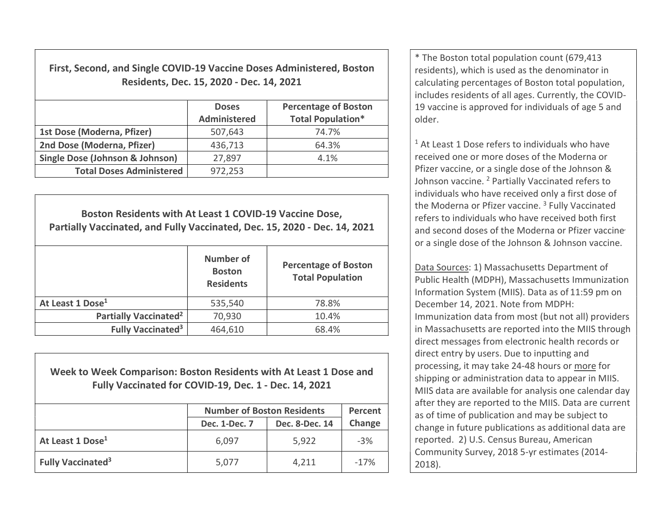First, Second, and Single COVID-19 Vaccine Doses Administered, Boston Residents, Dec. 15, 2020 - Dec. 14, 2021

|                                            | <b>Doses</b><br><b>Administered</b> | <b>Percentage of Boston</b><br><b>Total Population*</b> |  |
|--------------------------------------------|-------------------------------------|---------------------------------------------------------|--|
| 1st Dose (Moderna, Pfizer)                 | 507,643                             | 74.7%                                                   |  |
| 2nd Dose (Moderna, Pfizer)                 | 436,713                             | 64.3%                                                   |  |
| <b>Single Dose (Johnson &amp; Johnson)</b> | 27,897                              | 4.1%                                                    |  |
| <b>Total Doses Administered</b>            | 972,253                             |                                                         |  |

Boston Residents with At Least 1 COVID-19 Vaccine Dose, Partially Vaccinated, and Fully Vaccinated, Dec. 15, 2020 - Dec. 14, 2021 Number of **Boston Residents** Percentage of Boston Total Population At Least 1 Dose<sup>1</sup> 1535,540 78.8% Partially Vaccinated<sup>2</sup> 70,930 10.4% Fully Vaccinated<sup>3</sup>  $464,610$  68.4%

Week to Week Comparison: Boston Residents with At Least 1 Dose and Fully Vaccinated for COVID-19, Dec. 1 - Dec. 14, 2021

|                                     | <b>Number of Boston Residents</b> |                | Percent |
|-------------------------------------|-----------------------------------|----------------|---------|
|                                     | Dec. 1-Dec. 7                     | Dec. 8-Dec. 14 | Change  |
| At Least 1 Dose <sup>1</sup>        | 6,097                             | 5,922          | $-3%$   |
| <b>Fully Vaccinated<sup>3</sup></b> | 5,077                             | 4,211          | $-17%$  |

\* The Boston total population count (679,413 residents), which is used as the denominator in calculating percentages of Boston total population, includes residents of all ages. Currently, the COVID-19 vaccine is approved for individuals of age 5 and older.

<sup>1</sup> At Least 1 Dose refers to individuals who have received one or more doses of the Moderna or Pfizer vaccine, or a single dose of the Johnson & Johnson vaccine. <sup>2</sup> Partially Vaccinated refers to individuals who have received only a first dose of the Moderna or Pfizer vaccine.<sup>3</sup> Fully Vaccinated refers to individuals who have received both first and second doses of the Moderna or Pfizer vaccine or a single dose of the Johnson & Johnson vaccine.

Data Sources: 1) Massachusetts Department of Public Health (MDPH), Massachusetts Immunization Information System (MIIS). Data as of 11:59 pm on December 14, 2021. Note from MDPH: Immunization data from most (but not all) providers in Massachusetts are reported into the MIIS through direct messages from electronic health records or direct entry by users. Due to inputting and processing, it may take 24-48 hours or more for shipping or administration data to appear in MIIS. MIIS data are available for analysis one calendar day after they are reported to the MIIS. Data are current as of time of publication and may be subject to change in future publications as additional data are reported. 2) U.S. Census Bureau, American Community Survey, 2018 5-yr estimates (2014- 2018).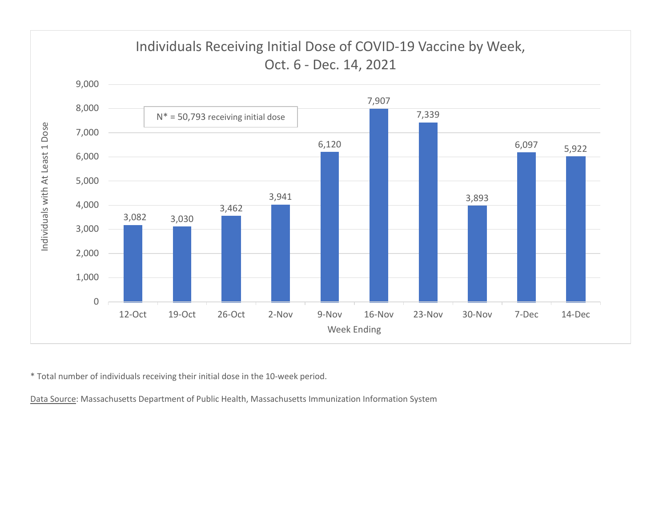

\* Total number of individuals receiving their initial dose in the 10-week period.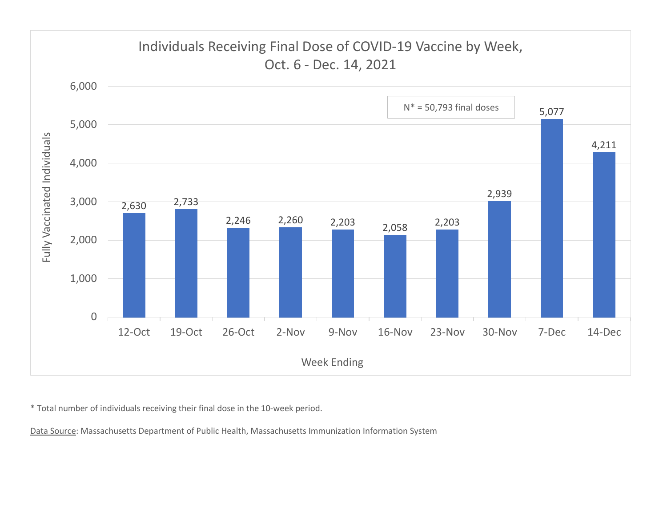

\* Total number of individuals receiving their final dose in the 10-week period.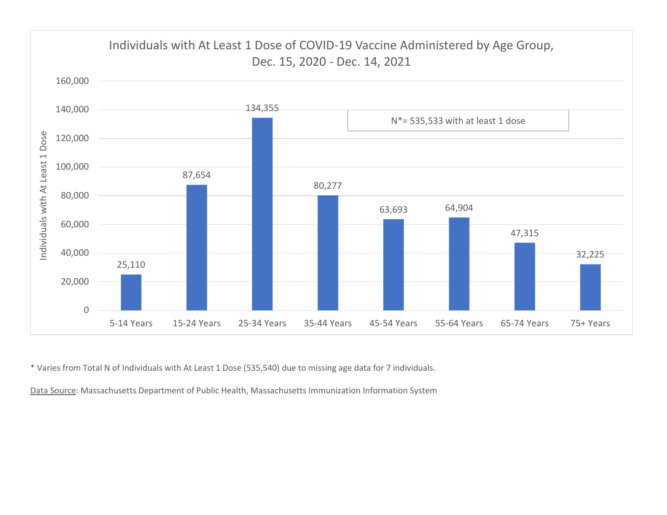

\* Varies from Total N of Individuals with At Least 1 Dose (535,540) due to missing age data for 7 individuals.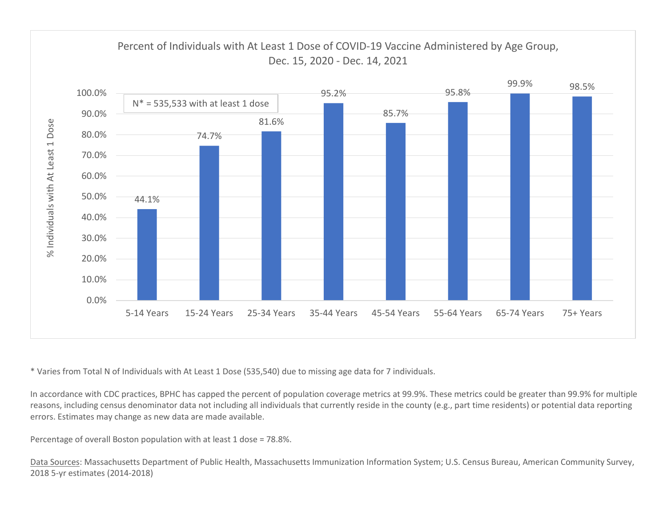

\* Varies from Total N of Individuals with At Least 1 Dose (535,540) due to missing age data for 7 individuals.

In accordance with CDC practices, BPHC has capped the percent of population coverage metrics at 99.9%. These metrics could be greater than 99.9% for multiple reasons, including census denominator data not including all individuals that currently reside in the county (e.g., part time residents) or potential data reporting errors. Estimates may change as new data are made available.

Percentage of overall Boston population with at least 1 dose = 78.8%.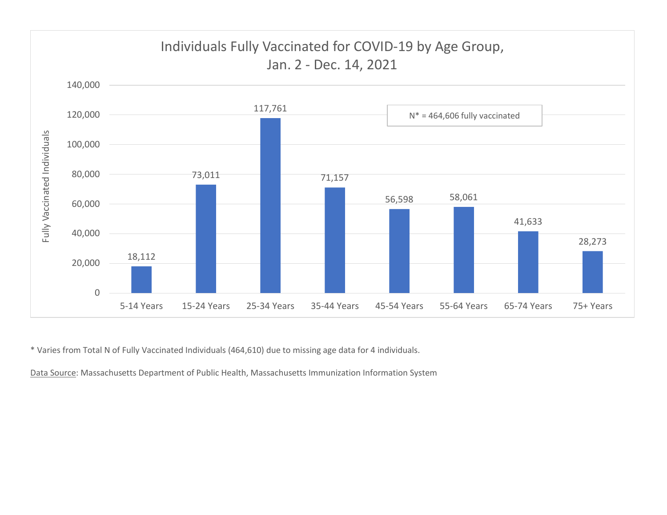

\* Varies from Total N of Fully Vaccinated Individuals (464,610) due to missing age data for 4 individuals.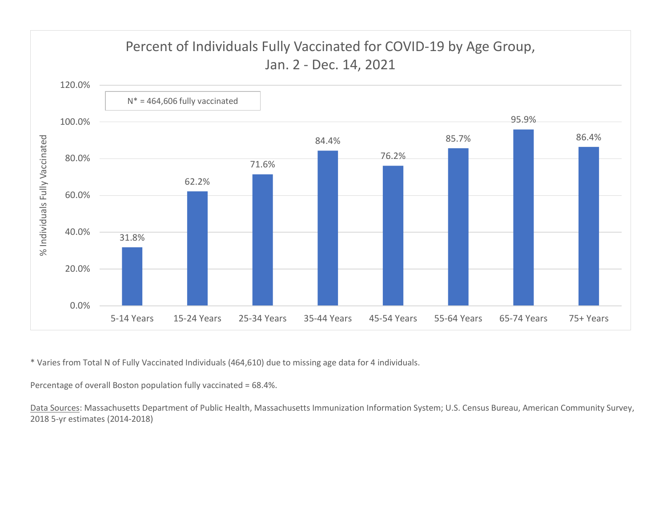

\* Varies from Total N of Fully Vaccinated Individuals (464,610) due to missing age data for 4 individuals.

Percentage of overall Boston population fully vaccinated = 68.4%.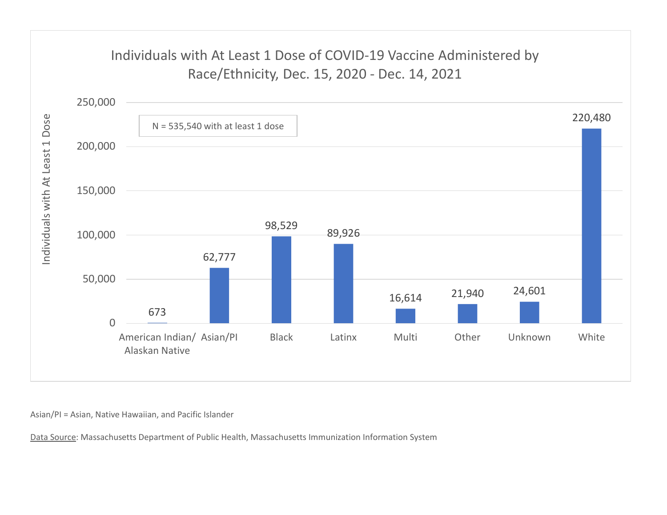# Individuals with At Least 1 Dose of COVID-19 Vaccine Administered by



Asian/PI = Asian, Native Hawaiian, and Pacific Islander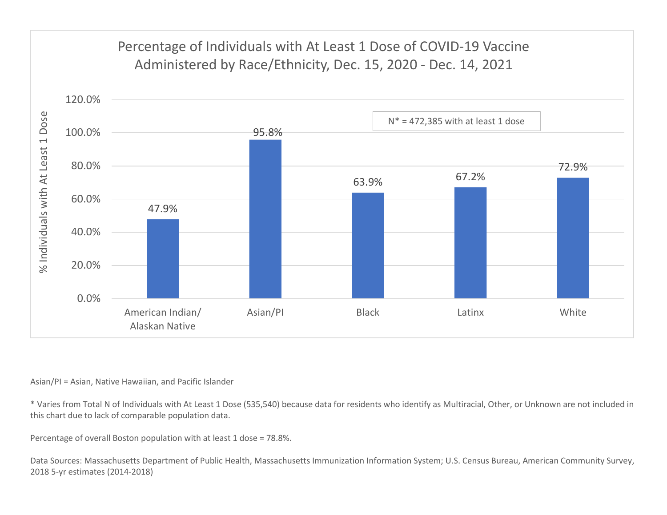

#### Asian/PI = Asian, Native Hawaiian, and Pacific Islander

\* Varies from Total N of Individuals with At Least 1 Dose (535,540) because data for residents who identify as Multiracial, Other, or Unknown are not included in this chart due to lack of comparable population data.

Percentage of overall Boston population with at least 1 dose = 78.8%.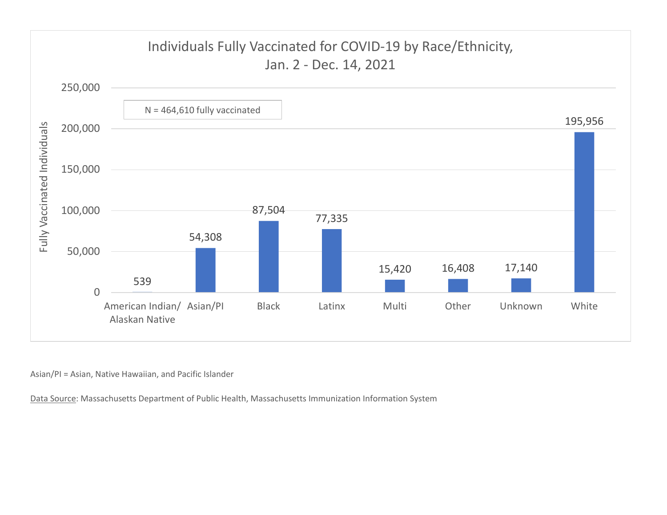![](_page_9_Figure_0.jpeg)

Asian/PI = Asian, Native Hawaiian, and Pacific Islander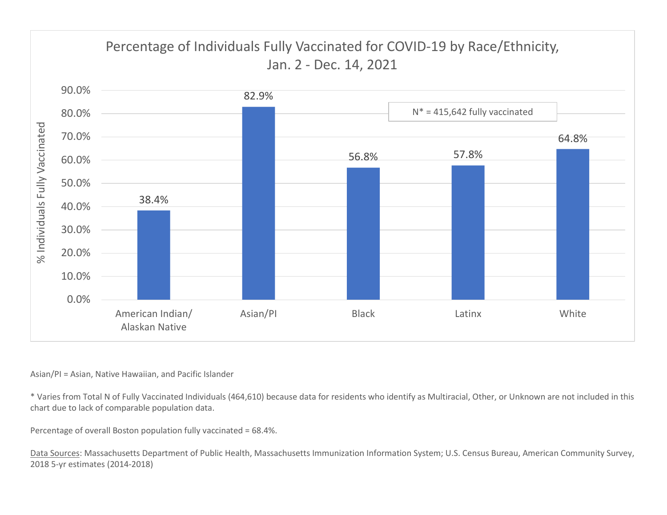![](_page_10_Figure_0.jpeg)

### Asian/PI = Asian, Native Hawaiian, and Pacific Islander

\* Varies from Total N of Fully Vaccinated Individuals (464,610) because data for residents who identify as Multiracial, Other, or Unknown are not included in this chart due to lack of comparable population data.

Percentage of overall Boston population fully vaccinated = 68.4%.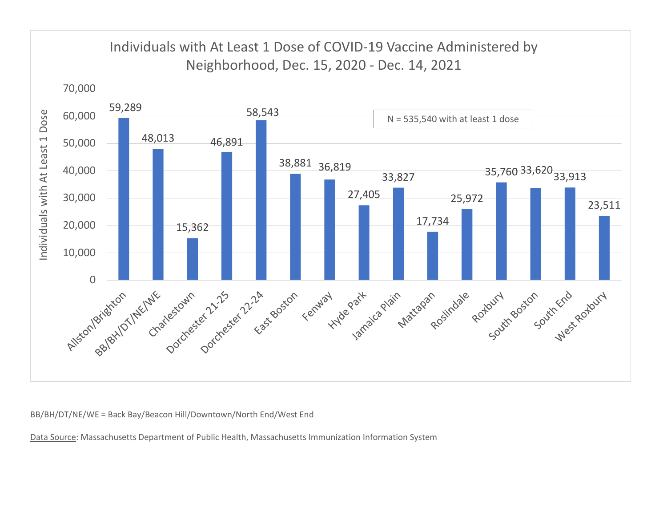![](_page_11_Figure_0.jpeg)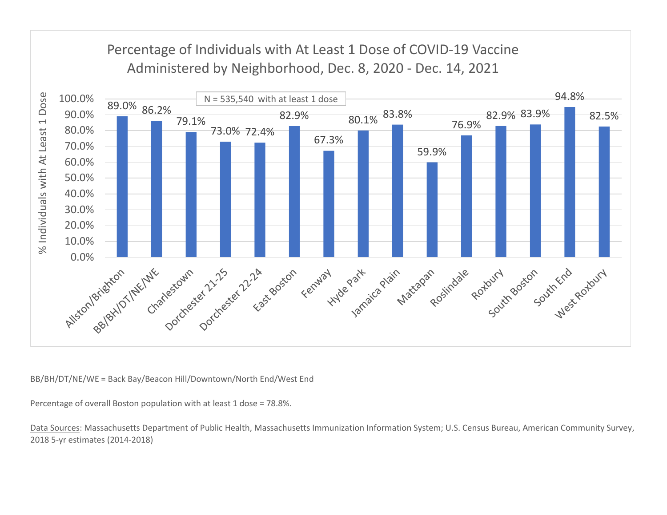![](_page_12_Figure_0.jpeg)

Percentage of overall Boston population with at least 1 dose = 78.8%.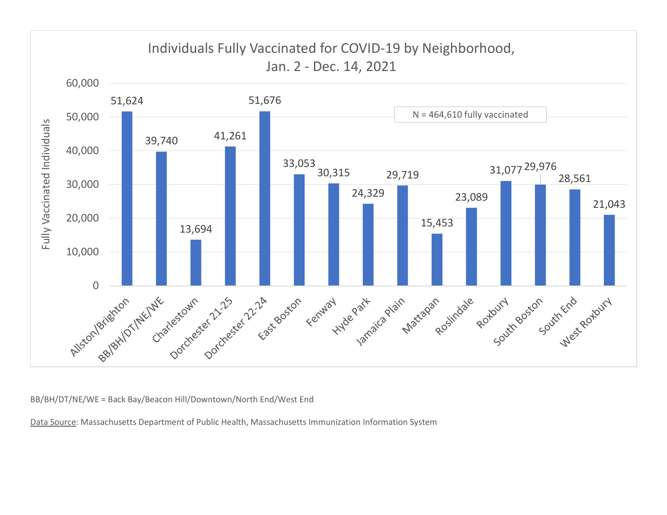![](_page_13_Figure_0.jpeg)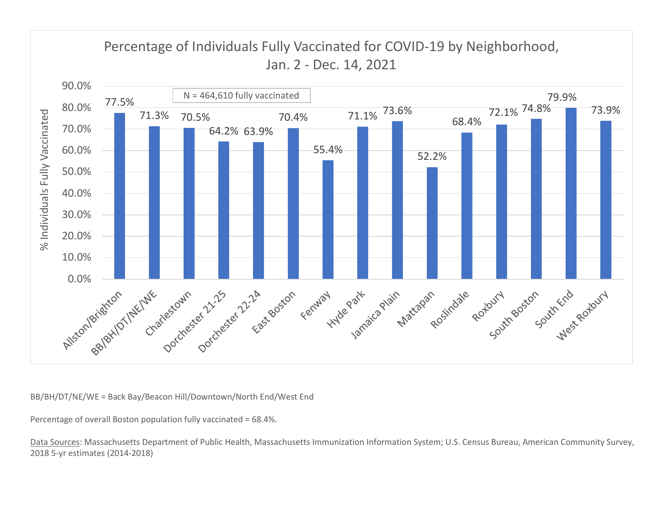![](_page_14_Figure_0.jpeg)

Percentage of overall Boston population fully vaccinated = 68.4%.